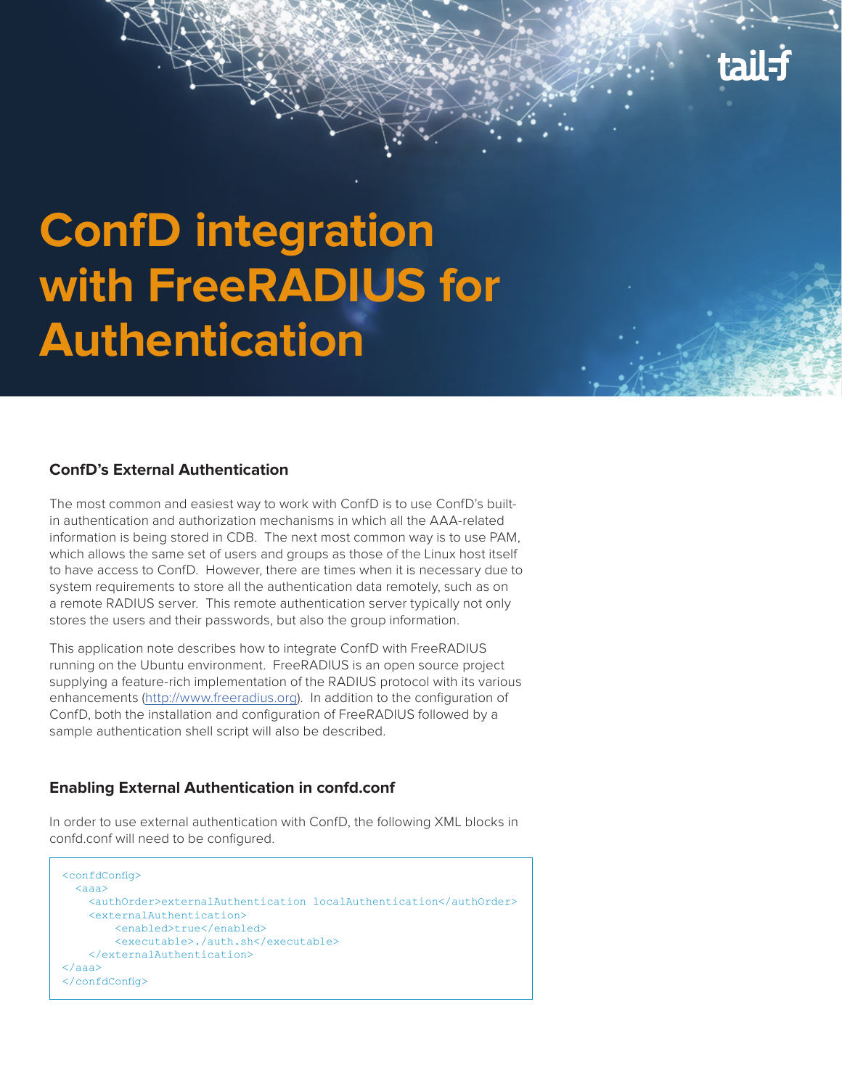

# **ConfD integration with FreeRADIUS for Authentication**

#### **ConfD's External Authentication**

The most common and easiest way to work with ConfD is to use ConfD's builtin authentication and authorization mechanisms in which all the AAA-related information is being stored in CDB. The next most common way is to use PAM, which allows the same set of users and groups as those of the Linux host itself to have access to ConfD. However, there are times when it is necessary due to system requirements to store all the authentication data remotely, such as on a remote RADIUS server. This remote authentication server typically not only stores the users and their passwords, but also the group information.

This application note describes how to integrate ConfD with FreeRADIUS running on the Ubuntu environment. FreeRADIUS is an open source project supplying a feature-rich implementation of the RADIUS protocol with its various enhancements (http://www.freeradius.org). In addition to the configuration of ConfD, both the installation and configuration of FreeRADIUS followed by a sample authentication shell script will also be described.

#### **Enabling External Authentication in confd.conf**

In order to use external authentication with ConfD, the following XML blocks in confd.conf will need to be configured.

```
<confdConfig> 
 <aaa> <authOrder>externalAuthentication localAuthentication</authOrder>
     <externalAuthentication>
         <enabled>true</enabled>
         <executable>./auth.sh</executable>
     </externalAuthentication>
</aaa>
</confdConfig>
```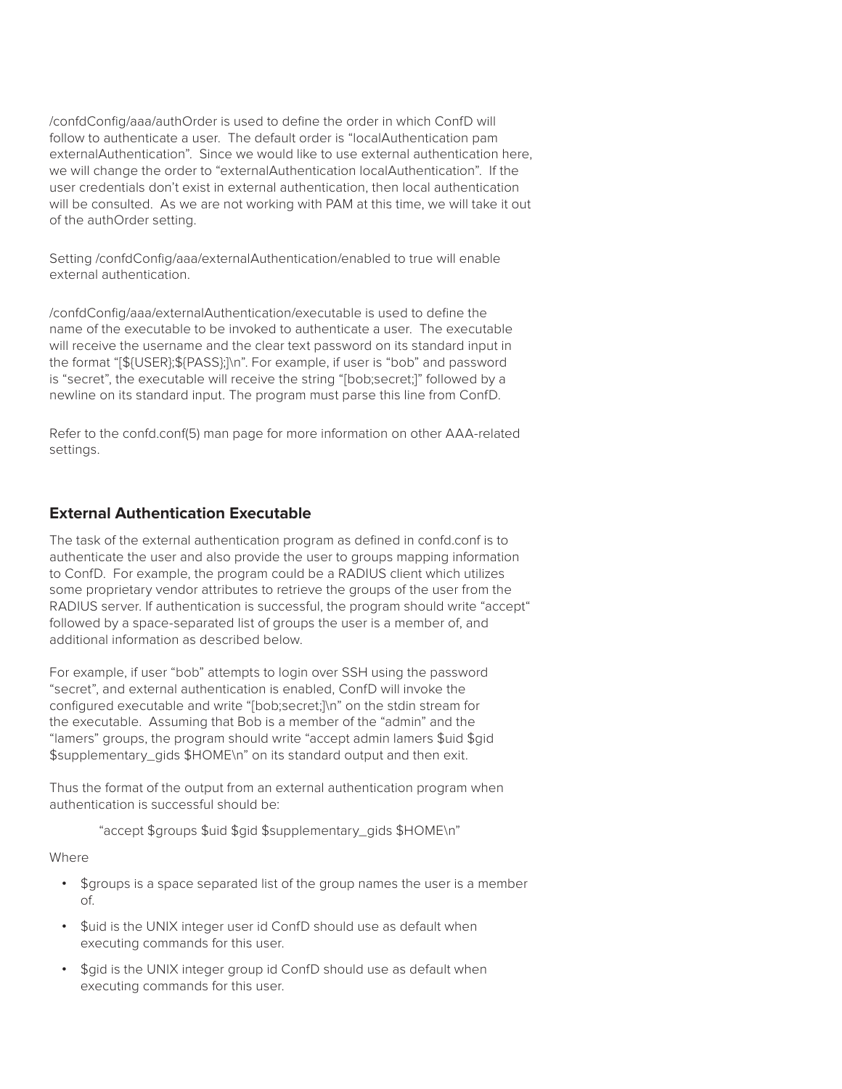/confdConfig/aaa/authOrder is used to define the order in which ConfD will follow to authenticate a user. The default order is "localAuthentication pam externalAuthentication". Since we would like to use external authentication here, we will change the order to "externalAuthentication localAuthentication". If the user credentials don't exist in external authentication, then local authentication will be consulted. As we are not working with PAM at this time, we will take it out of the authOrder setting.

Setting /confdConfig/aaa/externalAuthentication/enabled to true will enable external authentication.

/confdConfig/aaa/externalAuthentication/executable is used to define the name of the executable to be invoked to authenticate a user. The executable will receive the username and the clear text password on its standard input in the format "[\${USER};\${PASS};]\n". For example, if user is "bob" and password is "secret", the executable will receive the string "[bob;secret;]" followed by a newline on its standard input. The program must parse this line from ConfD.

Refer to the confd.conf(5) man page for more information on other AAA-related settings.

#### **External Authentication Executable**

The task of the external authentication program as defined in confd.conf is to authenticate the user and also provide the user to groups mapping information to ConfD. For example, the program could be a RADIUS client which utilizes some proprietary vendor attributes to retrieve the groups of the user from the RADIUS server. If authentication is successful, the program should write "accept" followed by a space-separated list of groups the user is a member of, and additional information as described below.

For example, if user "bob" attempts to login over SSH using the password "secret", and external authentication is enabled, ConfD will invoke the configured executable and write "[bob;secret;]\n" on the stdin stream for the executable. Assuming that Bob is a member of the "admin" and the "lamers" groups, the program should write "accept admin lamers \$uid \$gid \$supplementary\_gids \$HOME\n" on its standard output and then exit.

Thus the format of the output from an external authentication program when authentication is successful should be:

"accept \$groups \$uid \$gid \$supplementary\_gids \$HOME\n"

Where

- **•** \$groups is a space separated list of the group names the user is a member of.
- **•** \$uid is the UNIX integer user id ConfD should use as default when executing commands for this user.
- **•** \$gid is the UNIX integer group id ConfD should use as default when executing commands for this user.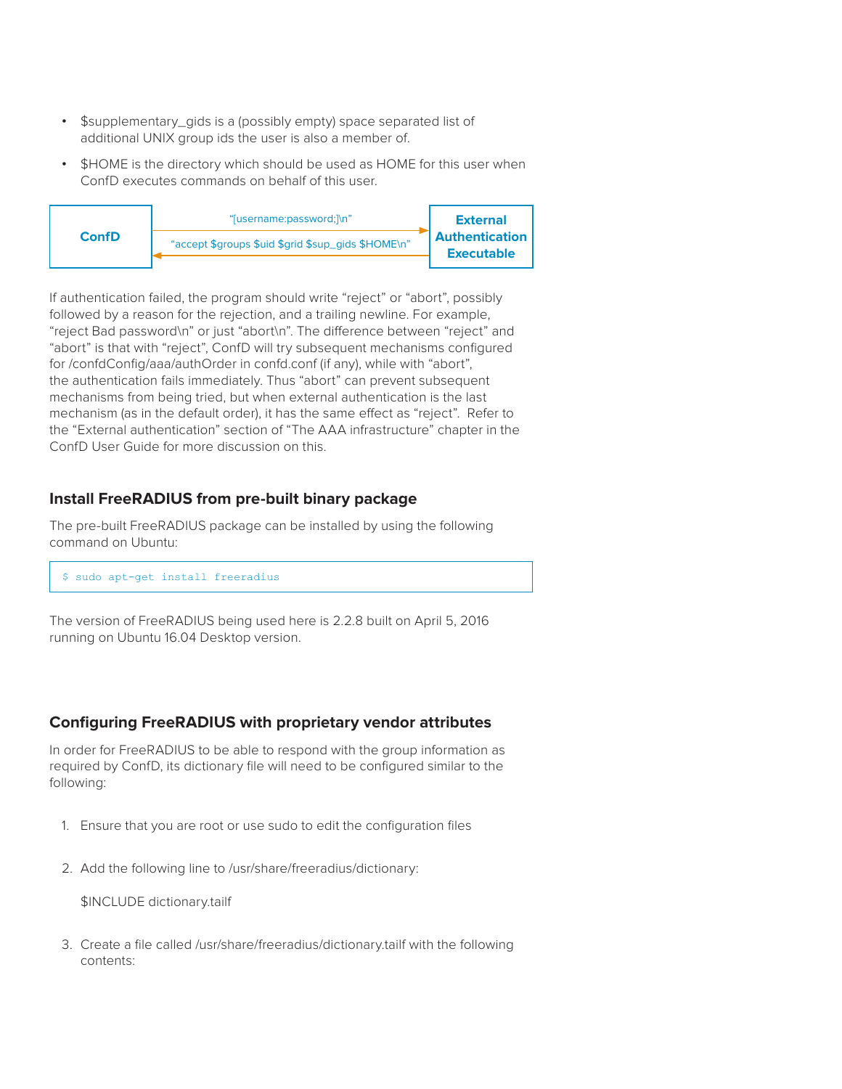- **•** \$supplementary\_gids is a (possibly empty) space separated list of additional UNIX group ids the user is also a member of.
- **•** \$HOME is the directory which should be used as HOME for this user when ConfD executes commands on behalf of this user.



If authentication failed, the program should write "reject" or "abort", possibly followed by a reason for the rejection, and a trailing newline. For example, "reject Bad password\n" or just "abort\n". The difference between "reject" and "abort" is that with "reject", ConfD will try subsequent mechanisms configured for /confdConfig/aaa/authOrder in confd.conf (if any), while with "abort", the authentication fails immediately. Thus "abort" can prevent subsequent mechanisms from being tried, but when external authentication is the last mechanism (as in the default order), it has the same effect as "reject". Refer to the "External authentication" section of "The AAA infrastructure" chapter in the ConfD User Guide for more discussion on this.

### **Install FreeRADIUS from pre-built binary package**

The pre-built FreeRADIUS package can be installed by using the following command on Ubuntu:

```
$ sudo apt-get install freeradius
```
The version of FreeRADIUS being used here is 2.2.8 built on April 5, 2016 running on Ubuntu 16.04 Desktop version.

#### **Configuring FreeRADIUS with proprietary vendor attributes**

In order for FreeRADIUS to be able to respond with the group information as required by ConfD, its dictionary file will need to be configured similar to the following:

- 1. Ensure that you are root or use sudo to edit the configuration files
- 2. Add the following line to /usr/share/freeradius/dictionary:

\$INCLUDE dictionary.tailf

3. Create a file called /usr/share/freeradius/dictionary.tailf with the following contents: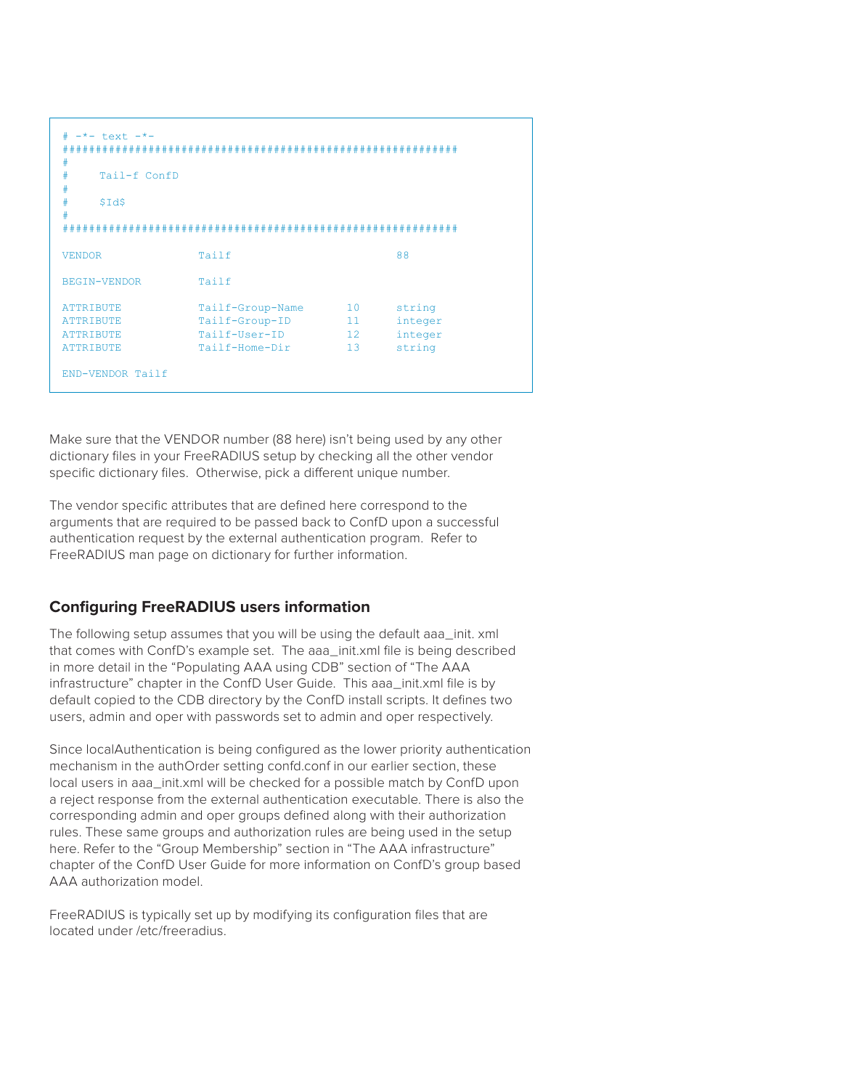| #<br>$-$ *- text $-$ *-<br>#<br>#<br>Tail-f ConfD<br>#<br>#<br>\$Id\$<br>#   |                                                                       |                                   |                                        |
|------------------------------------------------------------------------------|-----------------------------------------------------------------------|-----------------------------------|----------------------------------------|
|                                                                              |                                                                       |                                   |                                        |
| <b>VENDOR</b>                                                                | Tailf                                                                 |                                   | 88                                     |
| BEGIN-VENDOR                                                                 | Tailf                                                                 |                                   |                                        |
| <b>ATTRIBUTE</b><br><b>ATTRIBUTE</b><br><b>ATTRIBUTE</b><br><b>ATTRIBUTE</b> | Tailf-Group-Name<br>Tailf-Group-ID<br>Tailf-User-ID<br>Tailf-Home-Dir | 10<br>11<br>12 <sup>°</sup><br>13 | string<br>integer<br>integer<br>string |
| END-VENDOR Tailf                                                             |                                                                       |                                   |                                        |

Make sure that the VENDOR number (88 here) isn't being used by any other dictionary files in your FreeRADIUS setup by checking all the other vendor specific dictionary files. Otherwise, pick a different unique number.

The vendor specific attributes that are defined here correspond to the arguments that are required to be passed back to ConfD upon a successful authentication request by the external authentication program. Refer to FreeRADIUS man page on dictionary for further information.

#### **Configuring FreeRADIUS users information**

The following setup assumes that you will be using the default aaa init. xml that comes with ConfD's example set. The aaa init.xml file is being described in more detail in the "Populating AAA using CDB" section of "The AAA infrastructure" chapter in the ConfD User Guide. This aaa init.xml file is by default copied to the CDB directory by the ConfD install scripts. It defines two users, admin and oper with passwords set to admin and oper respectively.

Since localAuthentication is being configured as the lower priority authentication mechanism in the authOrder setting confd.conf in our earlier section, these local users in aaa\_init.xml will be checked for a possible match by ConfD upon a reject response from the external authentication executable. There is also the corresponding admin and oper groups defined along with their authorization rules. These same groups and authorization rules are being used in the setup here. Refer to the "Group Membership" section in "The AAA infrastructure" chapter of the ConfD User Guide for more information on ConfD's group based AAA authorization model.

FreeRADIUS is typically set up by modifying its configuration files that are located under /etc/freeradius.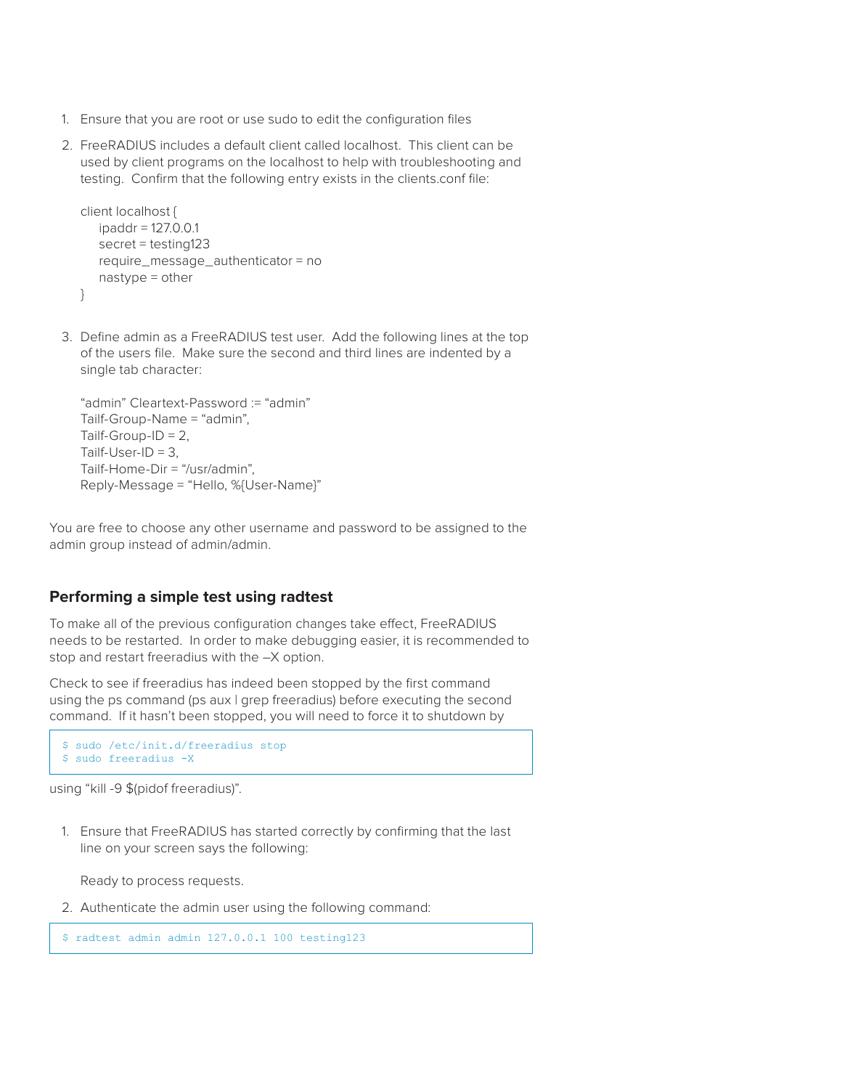- 1. Ensure that you are root or use sudo to edit the configuration files
- 2. FreeRADIUS includes a default client called localhost. This client can be used by client programs on the localhost to help with troubleshooting and testing. Confirm that the following entry exists in the clients.conf file:

```
client localhost {
   ipaddr = 127.0.0.1
   secret = testing123
   require message authenticator = no
   nastype = other
}
```
3. Define admin as a FreeRADIUS test user. Add the following lines at the top of the users file. Make sure the second and third lines are indented by a single tab character:

```
"admin" Cleartext-Password := "admin"
Tailf-Group-Name = "admin",
Tailf-Group-ID = 2,
Tailf-User-ID = 3,
Tailf-Home-Dir = "/usr/admin",
Reply-Message = "Hello, %{User-Name}"
```
You are free to choose any other username and password to be assigned to the admin group instead of admin/admin.

#### **Performing a simple test using radtest**

To make all of the previous configuration changes take effect, FreeRADIUS needs to be restarted. In order to make debugging easier, it is recommended to stop and restart freeradius with the –X option.

Check to see if freeradius has indeed been stopped by the first command using the ps command (ps aux | grep freeradius) before executing the second command. If it hasn't been stopped, you will need to force it to shutdown by

```
$ sudo /etc/init.d/freeradius stop
$ sudo freeradius -X
```
using "kill -9 \$(pidof freeradius)".

1. Ensure that FreeRADIUS has started correctly by confirming that the last line on your screen says the following:

Ready to process requests.

2. Authenticate the admin user using the following command:

\$ radtest admin admin 127.0.0.1 100 testing123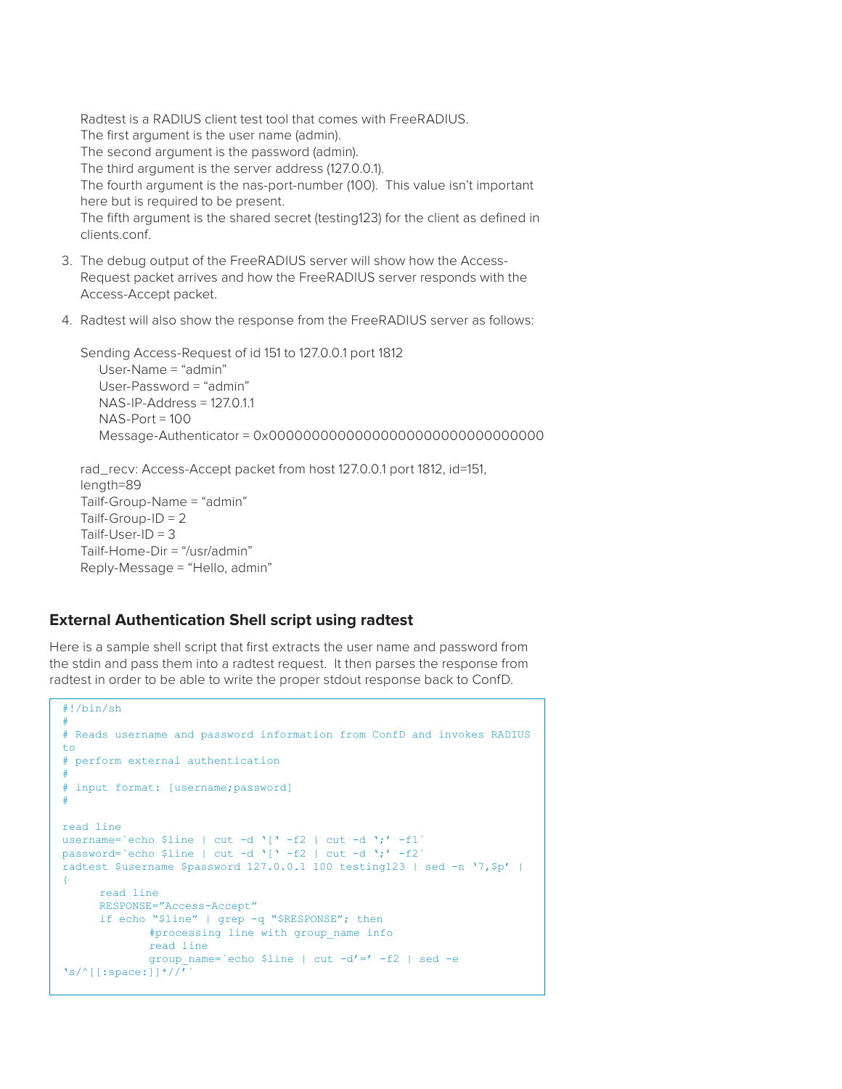Radtest is a RADIUS client test tool that comes with FreeRADIUS. The first argument is the user name (admin). The second argument is the password (admin). The third argument is the server address (127.0.0.1). The fourth argument is the nas-port-number (100). This value isn't important here but is required to be present. The fifth argument is the shared secret (testing123) for the client as defined in clients.conf.

- 3. The debug output of the FreeRADIUS server will show how the Access-Request packet arrives and how the FreeRADIUS server responds with the Access-Accept packet.
- 4. Radtest will also show the response from the FreeRADIUS server as follows:

Sending Access-Request of id 151 to 127.0.0.1 port 1812 User-Name = "admin" User-Password = "admin" NAS-IP-Address = 127.0.1.1  $NAS-Port = 100$ Message-Authenticator = 0x00000000000000000000000000000000

```
rad_recv: Access-Accept packet from host 127.0.0.1 port 1812, id=151, 
length=89
Tailf-Group-Name = "admin"
Tailf-Group-ID = 2Tailf-User-ID = 3
Tailf-Home-Dir = "/usr/admin"
Reply-Message = "Hello, admin"
```
#### **External Authentication Shell script using radtest**

Here is a sample shell script that first extracts the user name and password from the stdin and pass them into a radtest request. It then parses the response from radtest in order to be able to write the proper stdout response back to ConfD.

```
#!/bin/sh
#
# Reads username and password information from ConfD and invokes RADIUS 
to
# perform external authentication
#
# input format: [username;password]
#
read line
username=`echo $line | cut -d '[' -f2 | cut -d ';' -f1`
password=`echo $line | cut -d '[' -f2 | cut -d ';' -f2`
radtest $username $password 127.0.0.1 100 testing123 | sed -n '7,$p' |
\left\{ \right.read line
     RESPONSE="Access-Accept"
     if echo "$line" | grep -q "$RESPONSE"; then
             #processing line with group name info
             read line
             group name=`echo $line | cut -d'=' -f2 | sed -e
's/^[[:space:]]*//'`
```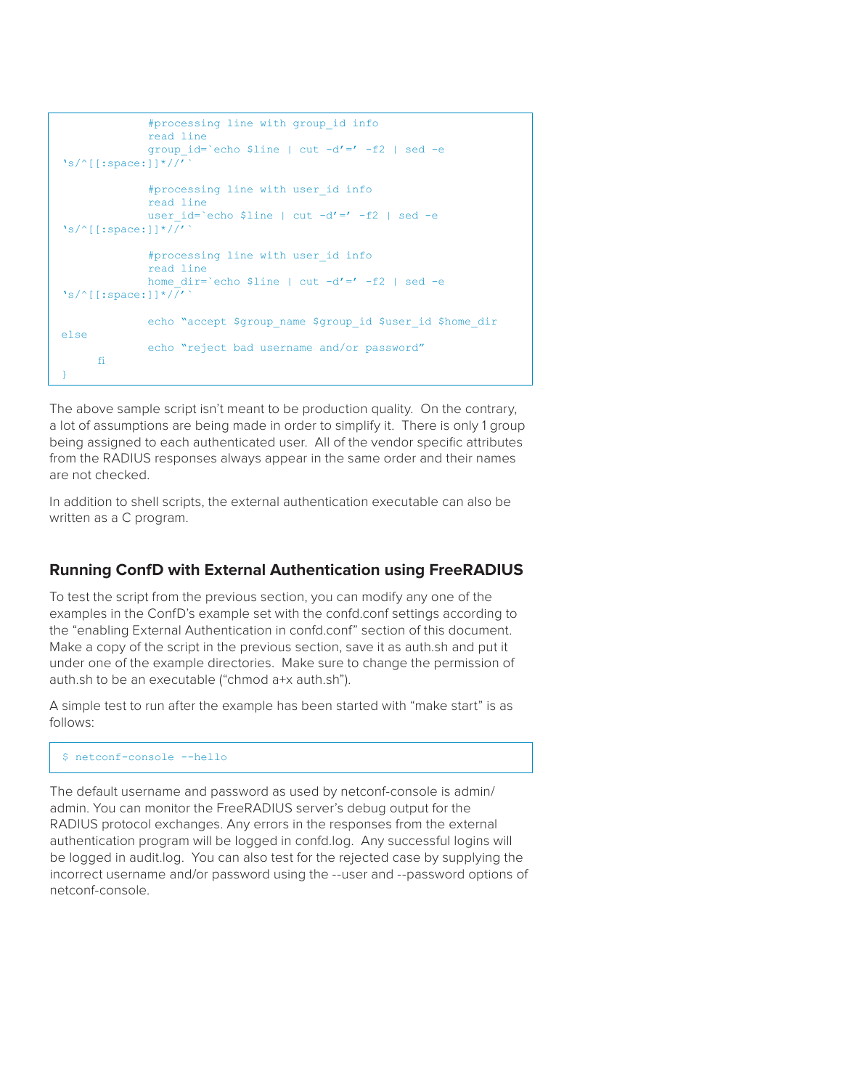```
#processing line with group_id info
              read line
              group_id=`echo $line | cut -d'=' -f2 | sed -e 
's/^[[:space:]]*//'`
              #processing line with user_id info
              read line
              user id='echo $line | cut -d'=' -f2 | sed -e
's/<sup>^</sup>[[:space:]]*/\sqrt{/'}#processing line with user_id info
              read line
              home dir=`echo $line | cut -d'=' -f2 | sed -e
's/<sup>^</sup>[[:space:]]*/\sqrt{/'}echo "accept $group name $group id $user id $home dir
else
              echo "reject bad username and/or password" 
     fi
}
```
The above sample script isn't meant to be production quality. On the contrary, a lot of assumptions are being made in order to simplify it. There is only 1 group being assigned to each authenticated user. All of the vendor specific attributes from the RADIUS responses always appear in the same order and their names are not checked.

In addition to shell scripts, the external authentication executable can also be written as a C program.

## **Running ConfD with External Authentication using FreeRADIUS**

To test the script from the previous section, you can modify any one of the examples in the ConfD's example set with the confd.conf settings according to the "enabling External Authentication in confd.conf" section of this document. Make a copy of the script in the previous section, save it as auth.sh and put it under one of the example directories. Make sure to change the permission of auth.sh to be an executable ("chmod a+x auth.sh").

A simple test to run after the example has been started with "make start" is as follows:

\$ netconf-console --hello

The default username and password as used by netconf-console is admin/ admin. You can monitor the FreeRADIUS server's debug output for the RADIUS protocol exchanges. Any errors in the responses from the external authentication program will be logged in confd.log. Any successful logins will be logged in audit.log. You can also test for the rejected case by supplying the incorrect username and/or password using the --user and --password options of netconf-console.